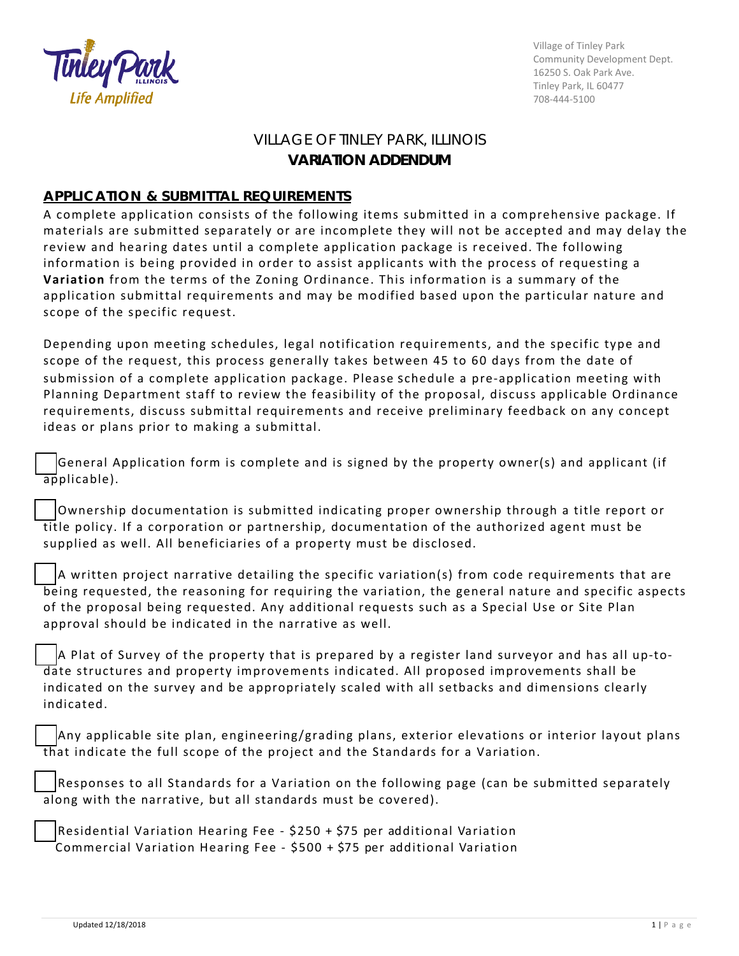

Village of Tinley Park Community Development Dept. 16250 S. Oak Park Ave. Tinley Park, IL 60477 708-444-5100

## VILLAGE OF TINLEY PARK, ILLINOIS **VARIATION ADDENDUM**

## **APPLICATION & SUBMITTAL REQUIREMENTS**

A complete application consists of the following items submitted in a comprehensive package. If materials are submitted separately or are incomplete they will not be accepted and may delay the review and hearing dates until a complete application package is received. The following information is being provided in order to assist applicants with the process of requesting a **Variation** from the terms of the Zoning Ordinance. This information is a summary of the application submittal requirements and may be modified based upon the particular nature and scope of the specific request.

Depending upon meeting schedules, legal notification requirements, and the specific type and scope of the request, this process generally takes between 45 to 60 days from the date of submission of a complete application package. Please schedule a pre-application meeting with Planning Department staff to review the feasibility of the proposal, discuss applicable Ordinance requirements, discuss submittal requirements and receive preliminary feedback on any concept ideas or plans prior to making a submittal.

General Application form is complete and is signed by the property owner(s) and applicant (if applicable).

☐Ownership documentation is submitted indicating proper ownership through a title report or title policy. If a corporation or partnership, documentation of the authorized agent must be supplied as well. All beneficiaries of a property must be disclosed.

☐A written project narrative detailing the specific variation(s) from code requirements that are being requested, the reasoning for requiring the variation, the general nature and specific aspects of the proposal being requested. Any additional requests such as a Special Use or Site Plan approval should be indicated in the narrative as well.

☐A Plat of Survey of the property that is prepared by a register land surveyor and has all up-todate structures and property improvements indicated. All proposed improvements shall be indicated on the survey and be appropriately scaled with all setbacks and dimensions clearly indicated.

☐Any applicable site plan, engineering/grading plans, exterior elevations or interior layout plans that indicate the full scope of the project and the Standards for a Variation.

Responses to all Standards for a Variation on the following page (can be submitted separately along with the narrative, but all standards must be covered).

☐Residential Variation Hearing Fee - \$250 + \$75 per additional Variation Commercial Variation Hearing Fee - \$500 + \$75 per additional Variation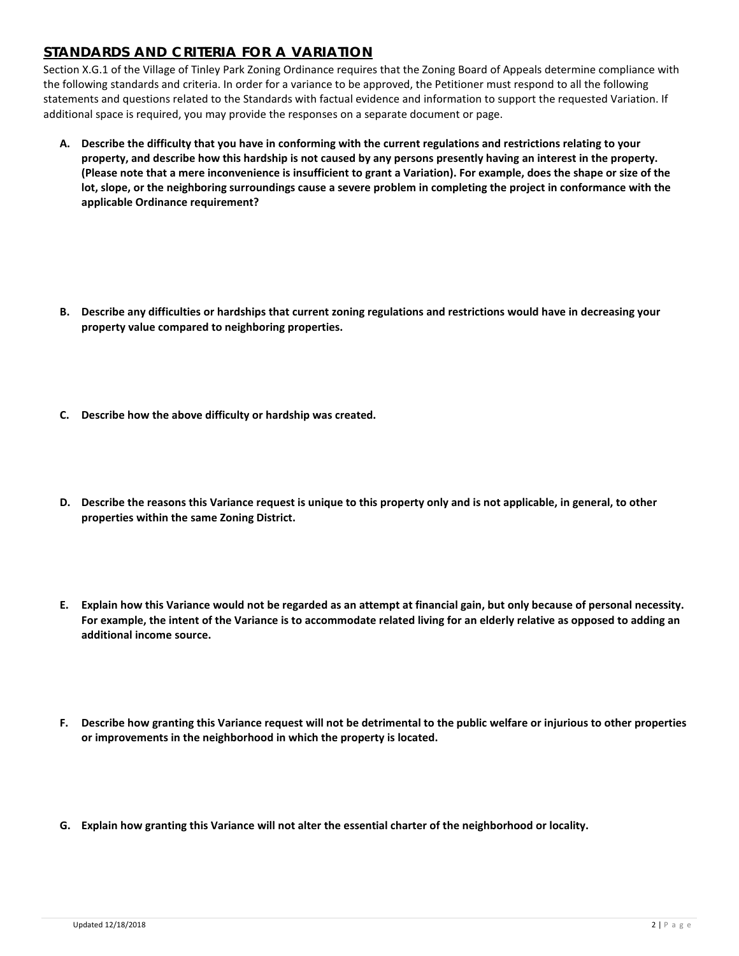## **STANDARDS AND CRITERIA FOR A VARIATION**

Section X.G.1 of the Village of Tinley Park Zoning Ordinance requires that the Zoning Board of Appeals determine compliance with the following standards and criteria. In order for a variance to be approved, the Petitioner must respond to all the following statements and questions related to the Standards with factual evidence and information to support the requested Variation. If additional space is required, you may provide the responses on a separate document or page.

- **A. Describe the difficulty that you have in conforming with the current regulations and restrictions relating to your property, and describe how this hardship is not caused by any persons presently having an interest in the property. (Please note that a mere inconvenience is insufficient to grant a Variation). For example, does the shape or size of the lot, slope, or the neighboring surroundings cause a severe problem in completing the project in conformance with the applicable Ordinance requirement?**
- **B. Describe any difficulties or hardships that current zoning regulations and restrictions would have in decreasing your property value compared to neighboring properties.**
- **C. Describe how the above difficulty or hardship was created.**
- **D. Describe the reasons this Variance request is unique to this property only and is not applicable, in general, to other properties within the same Zoning District.**
- **E. Explain how this Variance would not be regarded as an attempt at financial gain, but only because of personal necessity. For example, the intent of the Variance is to accommodate related living for an elderly relative as opposed to adding an additional income source.**
- **F. Describe how granting this Variance request will not be detrimental to the public welfare or injurious to other properties or improvements in the neighborhood in which the property is located.**
- **G. Explain how granting this Variance will not alter the essential charter of the neighborhood or locality.**